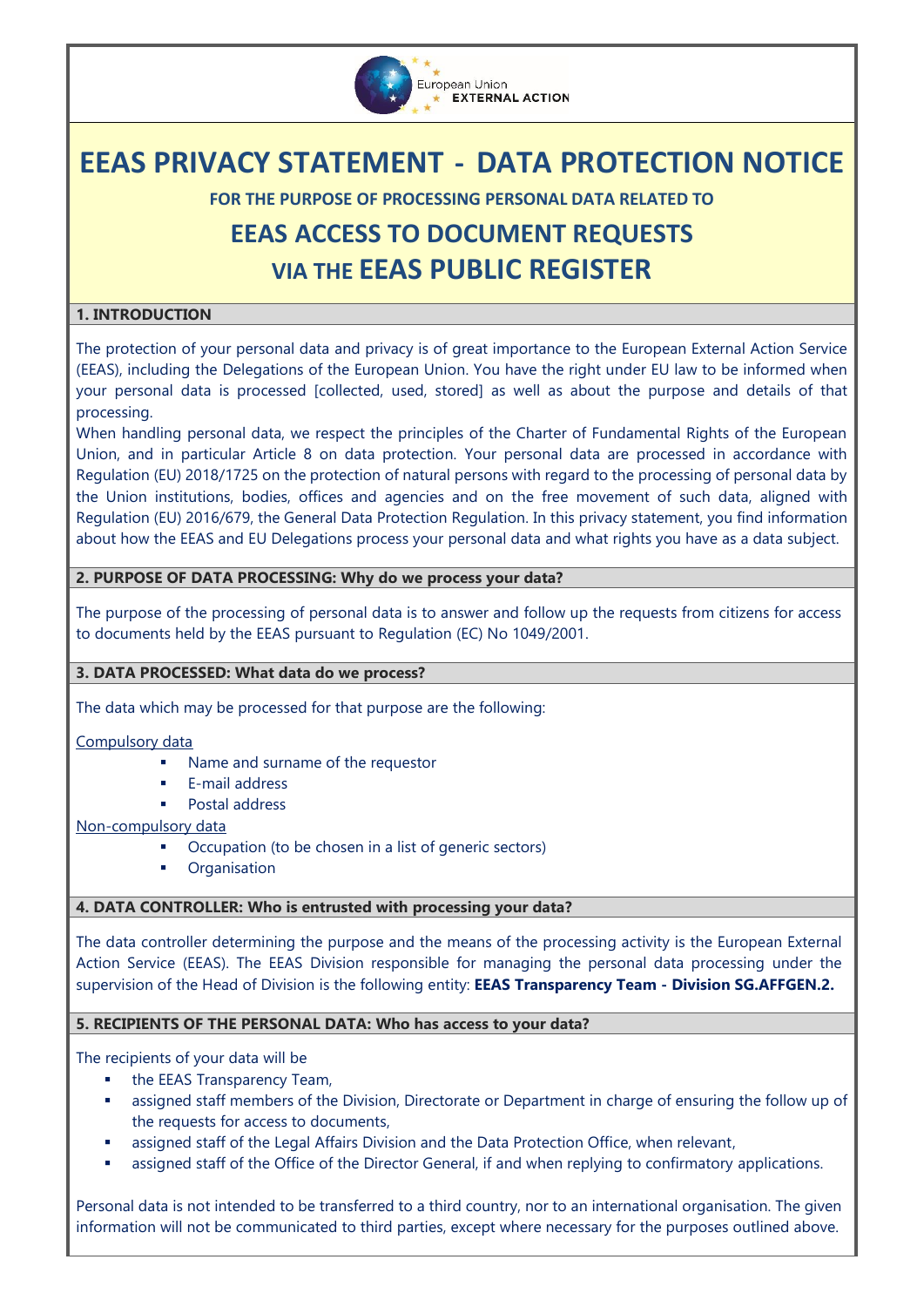

# **EEAS PRIVACY STATEMENT - DATA PROTECTION NOTICE**

**FOR THE PURPOSE OF PROCESSING PERSONAL DATA RELATED TO**

# **EEAS ACCESS TO DOCUMENT REQUESTS VIA THE EEAS PUBLIC REGISTER**

### **1. INTRODUCTION**

The protection of your personal data and privacy is of great importance to the European External Action Service (EEAS), including the Delegations of the European Union. You have the right under EU law to be informed when your personal data is processed [collected, used, stored] as well as about the purpose and details of that processing.

When handling personal data, we respect the principles of the Charter of Fundamental Rights of the European Union, and in particular Article 8 on data protection. Your personal data are processed in accordance with [Regulation \(EU\) 2018/1725 on the protection of natural persons with regard to the processing of personal data by](https://eur-lex.europa.eu/legal-content/EN/TXT/?uri=CELEX%3A32018R1725)  [the Union institutions, bodies, offices and agencies and on the free movement of such data,](https://eur-lex.europa.eu/legal-content/EN/TXT/?uri=CELEX%3A32018R1725) aligned with Regulation (EU) 2016/679, the General Data Protection Regulation. In this privacy statement, you find information about how the EEAS and EU Delegations process your personal data and what rights you have as a data subject.

### **2. PURPOSE OF DATA PROCESSING: Why do we process your data?**

The purpose of the processing of personal data is to answer and follow up the requests from citizens for access to documents held by the EEAS pursuant to Regulation (EC) No 1049/2001.

#### **3. DATA PROCESSED: What data do we process?**

The data which may be processed for that purpose are the following:

#### Compulsory data

- Name and surname of the requestor
- **E-mail address**
- **Postal address**

#### Non-compulsory data

- Occupation (to be chosen in a list of generic sectors)
- **•** Organisation

#### **4. DATA CONTROLLER: Who is entrusted with processing your data?**

The data controller determining the purpose and the means of the processing activity is the European External Action Service (EEAS). The EEAS Division responsible for managing the personal data processing under the supervision of the Head of Division is the following entity: **EEAS Transparency Team - Division SG.AFFGEN.2.**

#### **5. RECIPIENTS OF THE PERSONAL DATA: Who has access to your data?**

The recipients of your data will be

- the EEAS Transparency Team,
- assigned staff members of the Division, Directorate or Department in charge of ensuring the follow up of the requests for access to documents,
- assigned staff of the Legal Affairs Division and the Data Protection Office, when relevant,
- assigned staff of the Office of the Director General, if and when replying to confirmatory applications.

Personal data is not intended to be transferred to a third country, nor to an international organisation. The given information will not be communicated to third parties, except where necessary for the purposes outlined above.